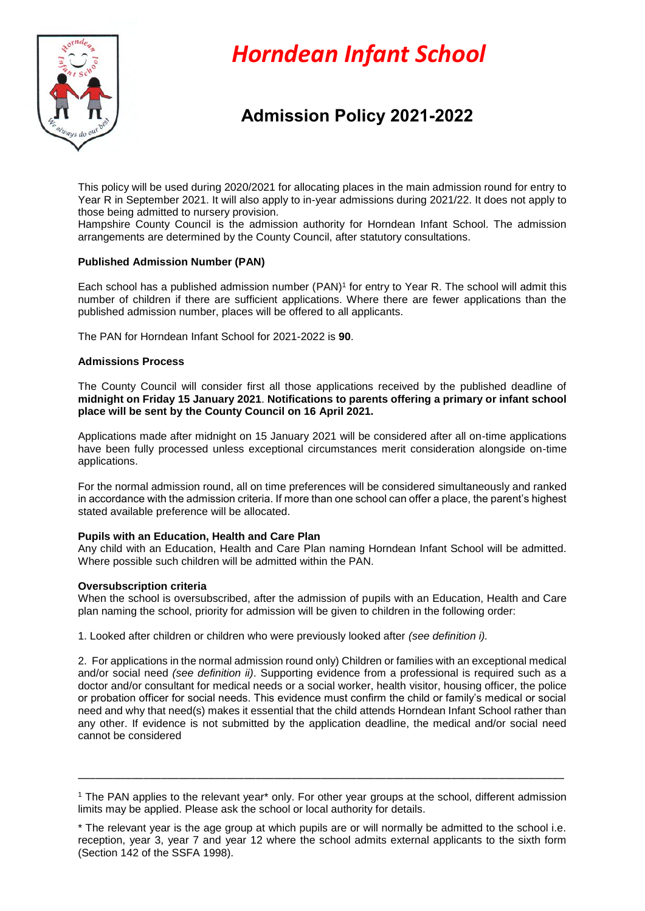

# *Horndean Infant School*

# **Admission Policy 2021-2022**

This policy will be used during 2020/2021 for allocating places in the main admission round for entry to Year R in September 2021. It will also apply to in-year admissions during 2021/22. It does not apply to those being admitted to nursery provision.

Hampshire County Council is the admission authority for Horndean Infant School. The admission arrangements are determined by the County Council, after statutory consultations.

# **Published Admission Number (PAN)**

Each school has a published admission number (PAN)<sup>1</sup> for entry to Year R. The school will admit this number of children if there are sufficient applications. Where there are fewer applications than the published admission number, places will be offered to all applicants.

The PAN for Horndean Infant School for 2021-2022 is **90**.

# **Admissions Process**

The County Council will consider first all those applications received by the published deadline of **midnight on Friday 15 January 2021**. **Notifications to parents offering a primary or infant school place will be sent by the County Council on 16 April 2021.** 

Applications made after midnight on 15 January 2021 will be considered after all on-time applications have been fully processed unless exceptional circumstances merit consideration alongside on-time applications.

For the normal admission round, all on time preferences will be considered simultaneously and ranked in accordance with the admission criteria. If more than one school can offer a place, the parent's highest stated available preference will be allocated.

# **Pupils with an Education, Health and Care Plan**

Any child with an Education, Health and Care Plan naming Horndean Infant School will be admitted. Where possible such children will be admitted within the PAN.

# **Oversubscription criteria**

When the school is oversubscribed, after the admission of pupils with an Education, Health and Care plan naming the school, priority for admission will be given to children in the following order:

1. Looked after children or children who were previously looked after *(see definition i).*

2. For applications in the normal admission round only) Children or families with an exceptional medical and/or social need *(see definition ii)*. Supporting evidence from a professional is required such as a doctor and/or consultant for medical needs or a social worker, health visitor, housing officer, the police or probation officer for social needs. This evidence must confirm the child or family's medical or social need and why that need(s) makes it essential that the child attends Horndean Infant School rather than any other. If evidence is not submitted by the application deadline, the medical and/or social need cannot be considered

\_\_\_\_\_\_\_\_\_\_\_\_\_\_\_\_\_\_\_\_\_\_\_\_\_\_\_\_\_\_\_\_\_\_\_\_\_\_\_\_\_\_\_\_\_\_\_\_\_\_\_\_\_\_\_\_\_\_\_\_\_\_\_\_\_\_\_\_\_\_\_\_\_\_\_\_\_\_\_\_\_\_

<sup>1</sup> The PAN applies to the relevant year\* only. For other year groups at the school, different admission limits may be applied. Please ask the school or local authority for details.

<sup>\*</sup> The relevant year is the age group at which pupils are or will normally be admitted to the school i.e. reception, year 3, year 7 and year 12 where the school admits external applicants to the sixth form (Section 142 of the SSFA 1998).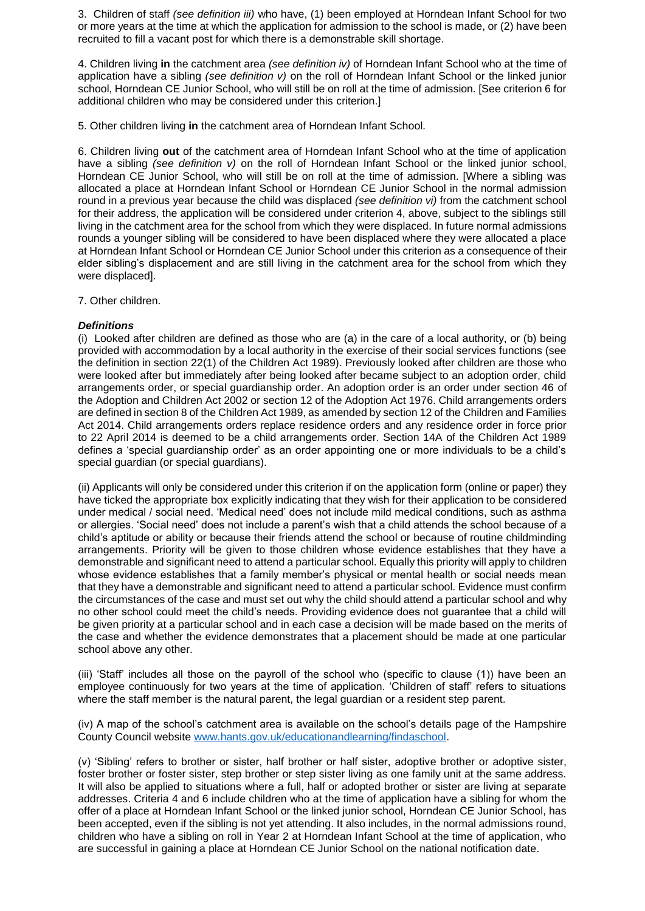3. Children of staff *(see definition iii)* who have, (1) been employed at Horndean Infant School for two or more years at the time at which the application for admission to the school is made, or (2) have been recruited to fill a vacant post for which there is a demonstrable skill shortage.

4. Children living **in** the catchment area *(see definition iv)* of Horndean Infant School who at the time of application have a sibling *(see definition v)* on the roll of Horndean Infant School or the linked junior school, Horndean CE Junior School, who will still be on roll at the time of admission. [See criterion 6 for additional children who may be considered under this criterion.]

5. Other children living **in** the catchment area of Horndean Infant School*.* 

6. Children living **out** of the catchment area of Horndean Infant School who at the time of application have a sibling *(see definition v)* on the roll of Horndean Infant School or the linked junior school, Horndean CE Junior School, who will still be on roll at the time of admission. [Where a sibling was allocated a place at Horndean Infant School or Horndean CE Junior School in the normal admission round in a previous year because the child was displaced *(see definition vi)* from the catchment school for their address, the application will be considered under criterion 4, above, subject to the siblings still living in the catchment area for the school from which they were displaced. In future normal admissions rounds a younger sibling will be considered to have been displaced where they were allocated a place at Horndean Infant School or Horndean CE Junior School under this criterion as a consequence of their elder sibling's displacement and are still living in the catchment area for the school from which they were displaced].

7. Other children.

# *Definitions*

(i) Looked after children are defined as those who are (a) in the care of a local authority, or (b) being provided with accommodation by a local authority in the exercise of their social services functions (see the definition in section 22(1) of the Children Act 1989). Previously looked after children are those who were looked after but immediately after being looked after became subject to an adoption order, child arrangements order, or special guardianship order. An adoption order is an order under section 46 of the Adoption and Children Act 2002 or section 12 of the Adoption Act 1976. Child arrangements orders are defined in section 8 of the Children Act 1989, as amended by section 12 of the Children and Families Act 2014. Child arrangements orders replace residence orders and any residence order in force prior to 22 April 2014 is deemed to be a child arrangements order. Section 14A of the Children Act 1989 defines a 'special guardianship order' as an order appointing one or more individuals to be a child's special guardian (or special guardians).

(ii) Applicants will only be considered under this criterion if on the application form (online or paper) they have ticked the appropriate box explicitly indicating that they wish for their application to be considered under medical / social need. 'Medical need' does not include mild medical conditions, such as asthma or allergies. 'Social need' does not include a parent's wish that a child attends the school because of a child's aptitude or ability or because their friends attend the school or because of routine childminding arrangements. Priority will be given to those children whose evidence establishes that they have a demonstrable and significant need to attend a particular school. Equally this priority will apply to children whose evidence establishes that a family member's physical or mental health or social needs mean that they have a demonstrable and significant need to attend a particular school. Evidence must confirm the circumstances of the case and must set out why the child should attend a particular school and why no other school could meet the child's needs. Providing evidence does not guarantee that a child will be given priority at a particular school and in each case a decision will be made based on the merits of the case and whether the evidence demonstrates that a placement should be made at one particular school above any other.

(iii) 'Staff' includes all those on the payroll of the school who (specific to clause (1)) have been an employee continuously for two years at the time of application. 'Children of staff' refers to situations where the staff member is the natural parent, the legal guardian or a resident step parent.

(iv) A map of the school's catchment area is available on the school's details page of the Hampshire County Council website [www.hants.gov.uk/educationandlearning/findaschool.](http://www.hants.gov.uk/educationandlearning/findaschool)

(v) 'Sibling' refers to brother or sister, half brother or half sister, adoptive brother or adoptive sister, foster brother or foster sister, step brother or step sister living as one family unit at the same address. It will also be applied to situations where a full, half or adopted brother or sister are living at separate addresses. Criteria 4 and 6 include children who at the time of application have a sibling for whom the offer of a place at Horndean Infant School or the linked junior school, Horndean CE Junior School, has been accepted, even if the sibling is not yet attending. It also includes, in the normal admissions round, children who have a sibling on roll in Year 2 at Horndean Infant School at the time of application, who are successful in gaining a place at Horndean CE Junior School on the national notification date.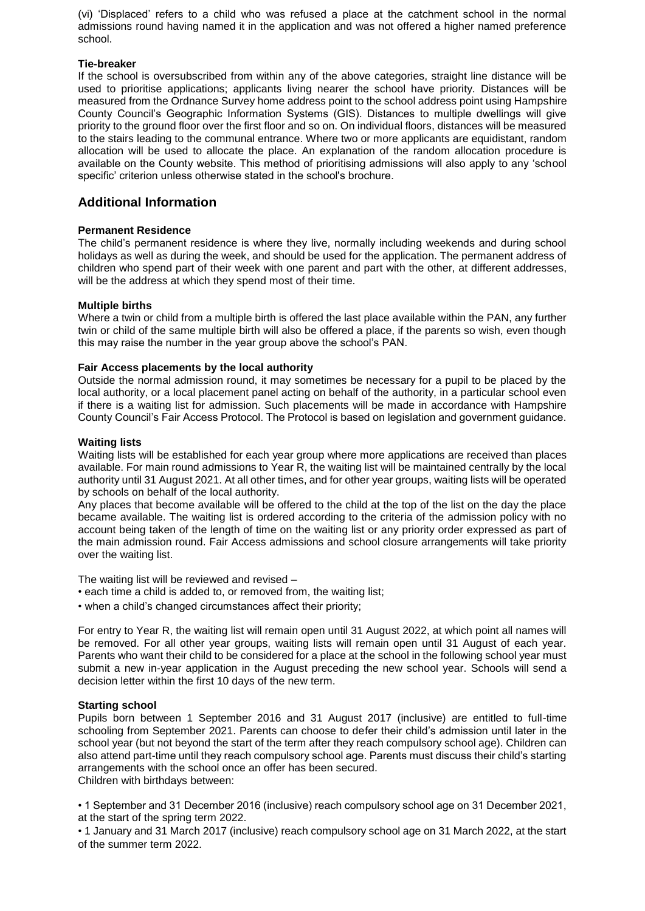(vi) 'Displaced' refers to a child who was refused a place at the catchment school in the normal admissions round having named it in the application and was not offered a higher named preference school.

#### **Tie-breaker**

If the school is oversubscribed from within any of the above categories, straight line distance will be used to prioritise applications; applicants living nearer the school have priority. Distances will be measured from the Ordnance Survey home address point to the school address point using Hampshire County Council's Geographic Information Systems (GIS). Distances to multiple dwellings will give priority to the ground floor over the first floor and so on. On individual floors, distances will be measured to the stairs leading to the communal entrance. Where two or more applicants are equidistant, random allocation will be used to allocate the place. An explanation of the random allocation procedure is available on the County website. This method of prioritising admissions will also apply to any 'school specific' criterion unless otherwise stated in the school's brochure.

# **Additional Information**

# **Permanent Residence**

The child's permanent residence is where they live, normally including weekends and during school holidays as well as during the week, and should be used for the application. The permanent address of children who spend part of their week with one parent and part with the other, at different addresses, will be the address at which they spend most of their time.

#### **Multiple births**

Where a twin or child from a multiple birth is offered the last place available within the PAN, any further twin or child of the same multiple birth will also be offered a place, if the parents so wish, even though this may raise the number in the year group above the school's PAN.

#### **Fair Access placements by the local authority**

Outside the normal admission round, it may sometimes be necessary for a pupil to be placed by the local authority, or a local placement panel acting on behalf of the authority, in a particular school even if there is a waiting list for admission. Such placements will be made in accordance with Hampshire County Council's Fair Access Protocol. The Protocol is based on legislation and government guidance.

#### **Waiting lists**

Waiting lists will be established for each year group where more applications are received than places available. For main round admissions to Year R, the waiting list will be maintained centrally by the local authority until 31 August 2021. At all other times, and for other year groups, waiting lists will be operated by schools on behalf of the local authority.

Any places that become available will be offered to the child at the top of the list on the day the place became available. The waiting list is ordered according to the criteria of the admission policy with no account being taken of the length of time on the waiting list or any priority order expressed as part of the main admission round. Fair Access admissions and school closure arrangements will take priority over the waiting list.

The waiting list will be reviewed and revised –

- each time a child is added to, or removed from, the waiting list;
- when a child's changed circumstances affect their priority;

For entry to Year R, the waiting list will remain open until 31 August 2022, at which point all names will be removed. For all other year groups, waiting lists will remain open until 31 August of each year. Parents who want their child to be considered for a place at the school in the following school year must submit a new in-year application in the August preceding the new school year. Schools will send a decision letter within the first 10 days of the new term.

# **Starting school**

Pupils born between 1 September 2016 and 31 August 2017 (inclusive) are entitled to full-time schooling from September 2021. Parents can choose to defer their child's admission until later in the school year (but not beyond the start of the term after they reach compulsory school age). Children can also attend part-time until they reach compulsory school age. Parents must discuss their child's starting arrangements with the school once an offer has been secured. Children with birthdays between:

• 1 September and 31 December 2016 (inclusive) reach compulsory school age on 31 December 2021, at the start of the spring term 2022.

• 1 January and 31 March 2017 (inclusive) reach compulsory school age on 31 March 2022, at the start of the summer term 2022.